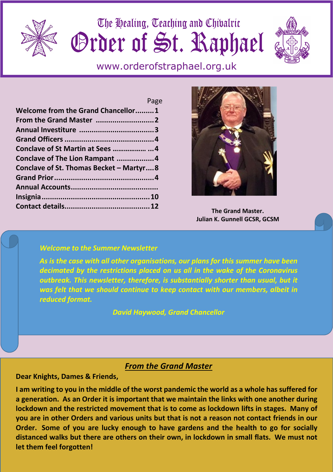

The Healing, Teaching and Chivalric Grder of St. Raphael



www.orderofstraphael.org.uk

|                                          | Page |
|------------------------------------------|------|
| Welcome from the Grand Chancellor1       |      |
|                                          |      |
|                                          |      |
|                                          |      |
|                                          |      |
| Conclave of The Lion Rampant 4           |      |
| Conclave of St. Thomas Becket - Martyr 8 |      |
|                                          |      |
|                                          |      |
|                                          |      |
|                                          |      |



#### **The Grand Master. Julian K. Gunnell GCSR, GCSM**

### *Welcome to the Summer Newsletter*

*As is the case with all other organisations, our plans for this summer have been decimated by the restrictions placed on us all in the wake of the Coronavirus*  outbreak. This newsletter, therefore, is substantially shorter than usual, but it *was felt that we should continue to keep contact with our members, albeit in reduced format.* 

*David Haywood, Grand Chancellor*

## *From the Grand Master*

**Dear Knights, Dames & Friends,** 

**I am writing to you in the middle of the worst pandemic the world as a whole has suffered for a generation. As an Order it is important that we maintain the links with one another during lockdown and the restricted movement that is to come as lockdown lifts in stages. Many of you are in other Orders and various units but that is not a reason not contact friends in our Order. Some of you are lucky enough to have gardens and the health to go for socially distanced walks but there are others on their own, in lockdown in small flats. We must not let them feel forgotten!**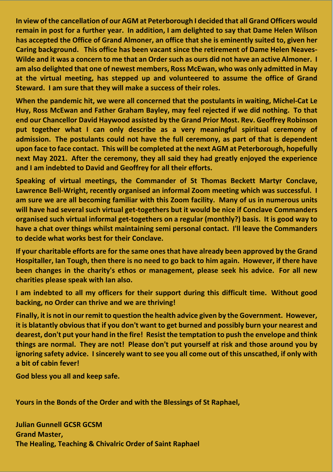**In view of the cancellation of our AGM at Peterborough I decided that all Grand Officers would remain in post for a further year. In addition, I am delighted to say that Dame Helen Wilson has accepted the Office of Grand Almoner, an office that she is eminently suited to, given her Caring background. This office has been vacant since the retirement of Dame Helen Neaves-Wilde and it was a concern to me that an Order such as ours did not have an active Almoner. I am also delighted that one of newest members, Ross McEwan, who was only admitted in May at the virtual meeting, has stepped up and volunteered to assume the office of Grand Steward. I am sure that they will make a success of their roles.** 

**When the pandemic hit, we were all concerned that the postulants in waiting, Michel-Cat Le Huy, Ross McEwan and Father Graham Bayley, may feel rejected if we did nothing. To that end our Chancellor David Haywood assisted by the Grand Prior Most. Rev. Geoffrey Robinson put together what I can only describe as a very meaningful spiritual ceremony of admission. The postulants could not have the full ceremony, as part of that is dependent upon face to face contact. This will be completed at the next AGM at Peterborough, hopefully next May 2021. After the ceremony, they all said they had greatly enjoyed the experience and I am indebted to David and Geoffrey for all their efforts.** 

**Speaking of virtual meetings, the Commander of St Thomas Beckett Martyr Conclave, Lawrence Bell-Wright, recently organised an informal Zoom meeting which was successful. I am sure we are all becoming familiar with this Zoom facility. Many of us in numerous units will have had several such virtual get-togethers but it would be nice if Conclave Commanders organised such virtual informal get-togethers on a regular (monthly?) basis. It is good way to have a chat over things whilst maintaining semi personal contact. I'll leave the Commanders to decide what works best for their Conclave.** 

**If your charitable efforts are for the same ones that have already been approved by the Grand Hospitaller, Ian Tough, then there is no need to go back to him again. However, if there have been changes in the charity's ethos or management, please seek his advice. For all new charities please speak with Ian also.** 

**I am indebted to all my officers for their support during this difficult time. Without good backing, no Order can thrive and we are thriving!** 

**Finally, it is not in our remit to question the health advice given by the Government. However, it is blatantly obvious that if you don't want to get burned and possibly burn your nearest and dearest, don't put your hand in the fire! Resist the temptation to push the envelope and think things are normal. They are not! Please don't put yourself at risk and those around you by ignoring safety advice. I sincerely want to see you all come out of this unscathed, if only with a bit of cabin fever!** 

**God bless you all and keep safe.** 

**Yours in the Bonds of the Order and with the Blessings of St Raphael,** 

**Julian Gunnell GCSR GCSM Grand Master, The Healing, Teaching & Chivalric Order of Saint Raphael**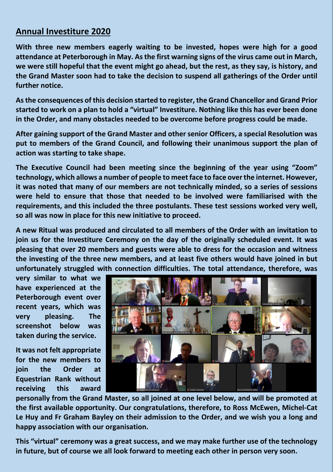## **Annual Investiture 2020**

**With three new members eagerly waiting to be invested, hopes were high for a good attendance at Peterborough in May. As the first warning signs of the virus came out in March, we were still hopeful that the event might go ahead, but the rest, as they say, is history, and the Grand Master soon had to take the decision to suspend all gatherings of the Order until further notice.** 

**As the consequences of this decision started to register, the Grand Chancellor and Grand Prior started to work on a plan to hold a "virtual" Investiture. Nothing like this has ever been done in the Order, and many obstacles needed to be overcome before progress could be made.** 

**After gaining support of the Grand Master and other senior Officers, a special Resolution was put to members of the Grand Council, and following their unanimous support the plan of action was starting to take shape.** 

**The Executive Council had been meeting since the beginning of the year using "Zoom" technology, which allows a number of people to meet face to face over the internet. However, it was noted that many of our members are not technically minded, so a series of sessions were held to ensure that those that needed to be involved were familiarised with the requirements, and this included the three postulants. These test sessions worked very well, so all was now in place for this new initiative to proceed.** 

**A new Ritual was produced and circulated to all members of the Order with an invitation to join us for the Investiture Ceremony on the day of the originally scheduled event. It was pleasing that over 20 members and guests were able to dress for the occasion and witness the investing of the three new members, and at least five others would have joined in but unfortunately struggled with connection difficulties. The total attendance, therefore, was** 

**very similar to what we have experienced at the Peterborough event over recent years, which was very pleasing. The screenshot below was taken during the service.** 

**It was not felt appropriate for the new members to join the Order at Equestrian Rank without receiving this award** 



**personally from the Grand Master, so all joined at one level below, and will be promoted at the first available opportunity. Our congratulations, therefore, to Ross McEwen, Michel-Cat Le Huy and Fr Graham Bayley on their admission to the Order, and we wish you a long and happy association with our organisation.** 

**This "virtual" ceremony was a great success, and we may make further use of the technology in future, but of course we all look forward to meeting each other in person very soon.**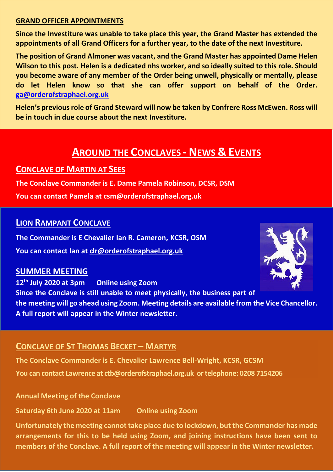#### **GRAND OFFICER APPOINTMENTS**

**Since the Investiture was unable to take place this year, the Grand Master has extended the appointments of all Grand Officers for a further year, to the date of the next Investiture.** 

**The position of Grand Almoner was vacant, and the Grand Master has appointed Dame Helen Wilson to this post. Helen is a dedicated nhs worker, and so ideally suited to this role. Should you become aware of any member of the Order being unwell, physically or mentally, please do let Helen know so that she can offer support on behalf of the Order. ga@orderofstraphael.org.uk** 

**Helen's previous role of Grand Steward will now be taken by Confrere Ross McEwen. Ross will be in touch in due course about the next Investiture.** 

# **AROUND THE CONCLAVES - NEWS & EVENTS**

## **CONCLAVE OF MARTIN AT SEES**

**The Conclave Commander is E. Dame Pamela Robinson, DCSR, DSM** 

**You can contact Pamela at csm@orderofstraphael.org.uk** 

### **LION RAMPANT CONCLAVE**

**The Commander is E Chevalier Ian R. Cameron, KCSR, OSM You can contact Ian at clr@orderofstraphael.org.uk** 

## **SUMMER MEETING**

**12th July 2020 at 3pm Online using Zoom Since the Conclave is still unable to meet physically, the business part of the meeting will go ahead using Zoom. Meeting details are available from the Vice Chancellor. A full report will appear in the Winter newsletter.** 

## **CONCLAVE OF ST THOMAS BECKET – MARTYR**

**The Conclave Commander is E. Chevalier Lawrence Bell-Wright, KCSR, GCSM You can contact Lawrence at ctb@orderofstraphael.org.uk or telephone: 0208 7154206** 

### **Annual Meeting of the Conclave**

**Saturday 6th June 2020 at 11am Online using Zoom** 

**Unfortunately the meeting cannot take place due to lockdown, but the Commander has made arrangements for this to be held using Zoom, and joining instructions have been sent to members of the Conclave. A full report of the meeting will appear in the Winter newsletter.** 

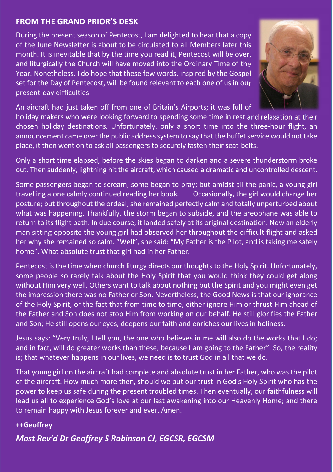## **FROM THE GRAND PRIOR'S DESK**

During the present season of Pentecost, I am delighted to hear that a copy of the June Newsletter is about to be circulated to all Members later this month. It is inevitable that by the time you read it, Pentecost will be over, and liturgically the Church will have moved into the Ordinary Time of the Year. Nonetheless, I do hope that these few words, inspired by the Gospel set for the Day of Pentecost, will be found relevant to each one of us in our present-day difficulties.



An aircraft had just taken off from one of Britain's Airports; it was full of

holiday makers who were looking forward to spending some time in rest and relaxation at their chosen holiday destinations. Unfortunately, only a short time into the three-hour flight, an announcement came over the public address system to say that the buffet service would not take place, it then went on to ask all passengers to securely fasten their seat-belts.

Only a short time elapsed, before the skies began to darken and a severe thunderstorm broke out. Then suddenly, lightning hit the aircraft, which caused a dramatic and uncontrolled descent.

Some passengers began to scream, some began to pray; but amidst all the panic, a young girl travelling alone calmly continued reading her book. Occasionally, the girl would change her posture; but throughout the ordeal, she remained perfectly calm and totally unperturbed about what was happening. Thankfully, the storm began to subside, and the areophane was able to return to its flight path. In due course, it landed safely at its original destination. Now an elderly man sitting opposite the young girl had observed her throughout the difficult flight and asked her why she remained so calm. "Well", she said: "My Father is the Pilot, and is taking me safely home". What absolute trust that girl had in her Father.

Pentecost is the time when church liturgy directs our thoughts to the Holy Spirit. Unfortunately, some people so rarely talk about the Holy Spirit that you would think they could get along without Him very well. Others want to talk about nothing but the Spirit and you might even get the impression there was no Father or Son. Nevertheless, the Good News is that our ignorance of the Holy Spirit, or the fact that from time to time, either ignore Him or thrust Him ahead of the Father and Son does not stop Him from working on our behalf. He still glorifies the Father and Son; He still opens our eyes, deepens our faith and enriches our lives in holiness.

Jesus says: "Very truly, I tell you, the one who believes in me will also do the works that I do; and in fact, will do greater works than these, because I am going to the Father". So, the reality is; that whatever happens in our lives, we need is to trust God in all that we do.

That young girl on the aircraft had complete and absolute trust in her Father, who was the pilot of the aircraft. How much more then, should we put our trust in God's Holy Spirit who has the power to keep us safe during the present troubled times. Then eventually, our faithfulness will lead us all to experience God's love at our last awakening into our Heavenly Home; and there to remain happy with Jesus forever and ever. Amen.

### **++Geoffrey**

*Most Rev'd Dr Geoffrey S Robinson CJ, EGCSR, EGCSM*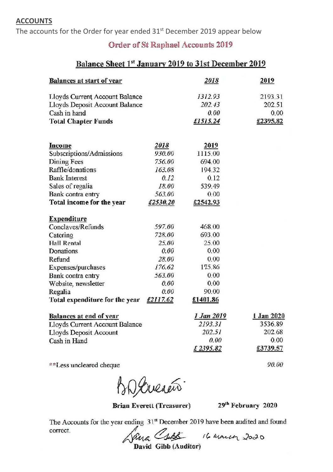#### **ACCOUNTS**

The accounts for the Order for year ended 31<sup>st</sup> December 2019 appear below

### **Order of St Raphael Accounts 2019**

## Balance Sheet 1st January 2019 to 31st December 2019

| <b>Balances at start of year</b>                                 |          | 2018                  | 2019                  |
|------------------------------------------------------------------|----------|-----------------------|-----------------------|
| Lloyds Current Account Balance                                   |          | 1312.93               | 2193.31               |
| Lloyds Deposit Account Balance                                   |          | 202.43                | 202.51                |
| Cash in hand                                                     |          | 0.00                  | 0.00                  |
| <b>Total Chapter Funds</b>                                       |          | £1515.24              | £2395.82              |
|                                                                  |          |                       |                       |
| Income                                                           | 2018     | 2019                  |                       |
| Subscriptions/Admissions                                         | 930.00   | 1115.00               |                       |
| Dining Fees                                                      | 756.00   | 694.00                |                       |
| Raffle/donations                                                 | 163.08   | 194.32                |                       |
| <b>Bank Interest</b>                                             | 0.12     | 0.12                  |                       |
| Sales of regalia                                                 | 18.00    | 539.49                |                       |
| Bank contra entry                                                | 563.00   | 0.00                  |                       |
| Total income for the year                                        | £2530.20 | £2542.93              |                       |
| <b>Expenditure</b>                                               |          |                       |                       |
| Conclaves/Refunds                                                | 597.00   | 468.00                |                       |
| Catering                                                         | 728.00   | 693.00                |                       |
| <b>Hall Rental</b>                                               | 25.00    | 25.00                 |                       |
| Donations                                                        | 0.00     | 0.00                  |                       |
| Refund                                                           | 28.00    | 0.00                  |                       |
| Expenses/purchases                                               | 176.62   | 175.86                |                       |
| Bank contra entry                                                | 563.00   | 0.00                  |                       |
| Website, newsletter                                              | 0.00     | 0.00                  |                       |
| Regalia                                                          | 0.00     | 90.00                 |                       |
| Total expenditure for the year                                   | £2117.62 | £1401.86              |                       |
| <b>Balances at end of year</b><br>Lloyds Current Account Balance |          | 1 Jan 2019<br>2193.31 | 1 Jan 2020<br>3536.89 |
| Lloyds Deposit Account                                           |          | 202.51                | 202.68                |
| Cash in Hand                                                     |          | 0.00                  | 0.00                  |
|                                                                  |          | £2395.82              | £3739.57              |
|                                                                  |          |                       |                       |

\*\*Less uncleared cheque

BD Creació

**Brian Everett (Treasurer)** 

29th February 2020

90.00

The Accounts for the year ending 31st December 2019 have been audited and found correct.

Jana Cents 16 marca 2020